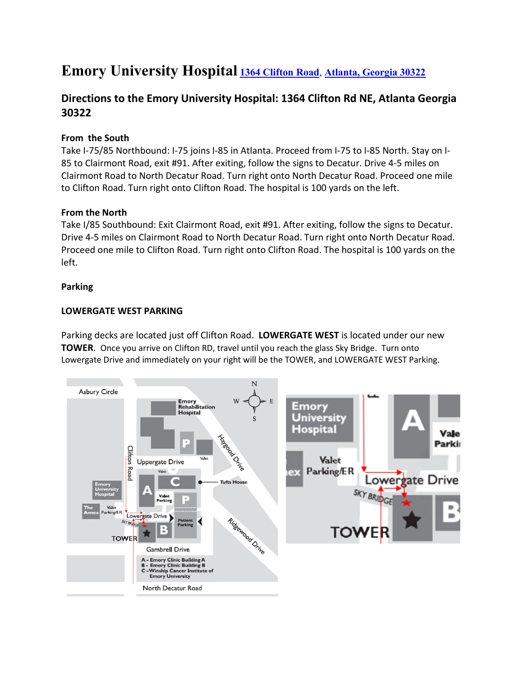# **Emory University Hospital [1364 Clifton Road](https://www.google.com/maps/place/1364+Clifton+Rd,+Atlanta,+GA+30322/@33.7921115,-84.3243486,17z/data=!3m1!4b1!4m5!3m4!1s0x88f506fa6522bb9d:0x165ef38585de31c1!8m2!3d33.7921115!4d-84.3221599)**, **[Atlanta, Georgia 30322](https://www.google.com/maps/place/1364+Clifton+Rd,+Atlanta,+GA+30322/@33.7921115,-84.3243486,17z/data=!3m1!4b1!4m5!3m4!1s0x88f506fa6522bb9d:0x165ef38585de31c1!8m2!3d33.7921115!4d-84.3221599)**

### **Directions to the Emory University Hospital: 1364 Clifton Rd NE, Atlanta Georgia 30322**

#### **From the South**

Take I-75/85 Northbound: I-75 joins I-85 in Atlanta. Proceed from I-75 to I-85 North. Stay on I-85 to Clairmont Road, exit #91. After exiting, follow the signs to Decatur. Drive 4-5 miles on Clairmont Road to North Decatur Road. Turn right onto North Decatur Road. Proceed one mile to Clifton Road. Turn right onto Clifton Road. The hospital is 100 yards on the left.

#### **From the North**

Take I/85 Southbound: Exit Clairmont Road, exit #91. After exiting, follow the signs to Decatur. Drive 4-5 miles on Clairmont Road to North Decatur Road. Turn right onto North Decatur Road. Proceed one mile to Clifton Road. Turn right onto Clifton Road. The hospital is 100 yards on the left.

#### **Parking**

#### **LOWERGATE WEST PARKING**

Parking decks are located just off Clifton Road. **LOWERGATE WEST** is located under our new **TOWER**. Once you arrive on Clifton RD, travel until you reach the glass Sky Bridge. Turn onto Lowergate Drive and immediately on your right will be the TOWER, and LOWERGATE WEST Parking.

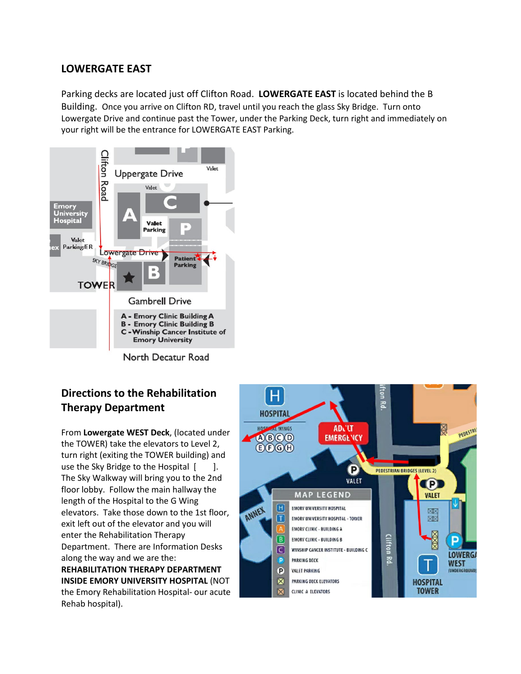### **LOWERGATE EAST**

Parking decks are located just off Clifton Road. **LOWERGATE EAST** is located behind the B Building. Once you arrive on Clifton RD, travel until you reach the glass Sky Bridge. Turn onto Lowergate Drive and continue past the Tower, under the Parking Deck, turn right and immediately on your right will be the entrance for LOWERGATE EAST Parking.



North Decatur Road

## **Directions to the Rehabilitation Therapy Department**

From **Lowergate WEST Deck**, (located under the TOWER) take the elevators to Level 2, turn right (exiting the TOWER building) and use the Sky Bridge to the Hospital [ ]. The Sky Walkway will bring you to the 2nd floor lobby. Follow the main hallway the length of the Hospital to the G Wing elevators. Take those down to the 1st floor, exit left out of the elevator and you will enter the Rehabilitation Therapy Department. There are Information Desks along the way and we are the: **REHABILITATION THERAPY DEPARTMENT INSIDE EMORY UNIVERSITY HOSPITAL** (NOT the Emory Rehabilitation Hospital- our acute Rehab hospital).